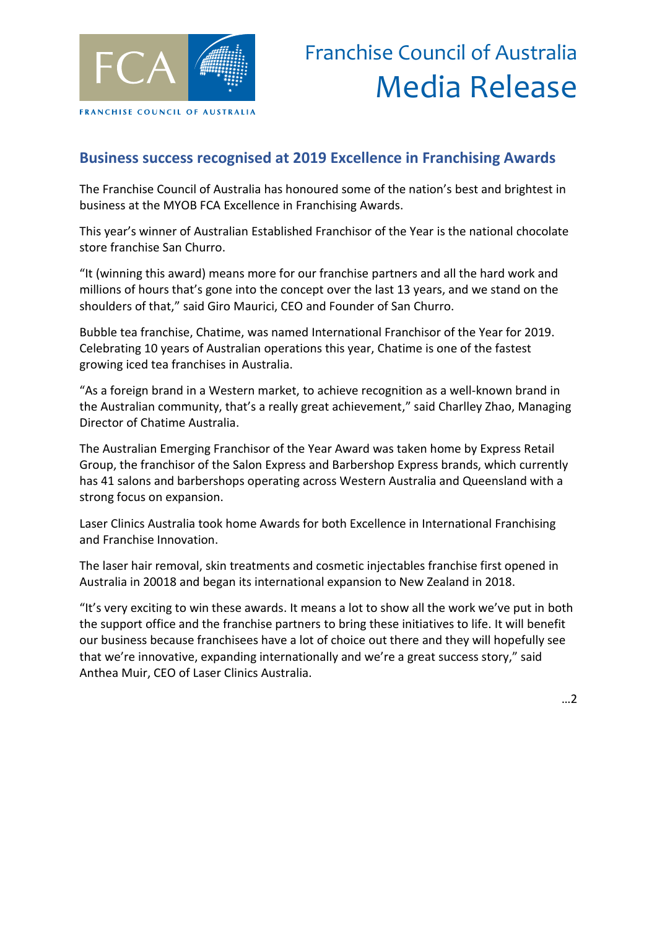

## **Business success recognised at 2019 Excellence in Franchising Awards**

The Franchise Council of Australia has honoured some of the nation's best and brightest in business at the MYOB FCA Excellence in Franchising Awards.

This year's winner of Australian Established Franchisor of the Year is the national chocolate store franchise San Churro.

"It (winning this award) means more for our franchise partners and all the hard work and millions of hours that's gone into the concept over the last 13 years, and we stand on the shoulders of that," said Giro Maurici, CEO and Founder of San Churro.

Bubble tea franchise, Chatime, was named International Franchisor of the Year for 2019. Celebrating 10 years of Australian operations this year, Chatime is one of the fastest growing iced tea franchises in Australia.

"As a foreign brand in a Western market, to achieve recognition as a well-known brand in the Australian community, that's a really great achievement," said Charlley Zhao, Managing Director of Chatime Australia.

The Australian Emerging Franchisor of the Year Award was taken home by Express Retail Group, the franchisor of the Salon Express and Barbershop Express brands, which currently has 41 salons and barbershops operating across Western Australia and Queensland with a strong focus on expansion.

Laser Clinics Australia took home Awards for both Excellence in International Franchising and Franchise Innovation.

The laser hair removal, skin treatments and cosmetic injectables franchise first opened in Australia in 20018 and began its international expansion to New Zealand in 2018.

"It's very exciting to win these awards. It means a lot to show all the work we've put in both the support office and the franchise partners to bring these initiatives to life. It will benefit our business because franchisees have a lot of choice out there and they will hopefully see that we're innovative, expanding internationally and we're a great success story," said Anthea Muir, CEO of Laser Clinics Australia.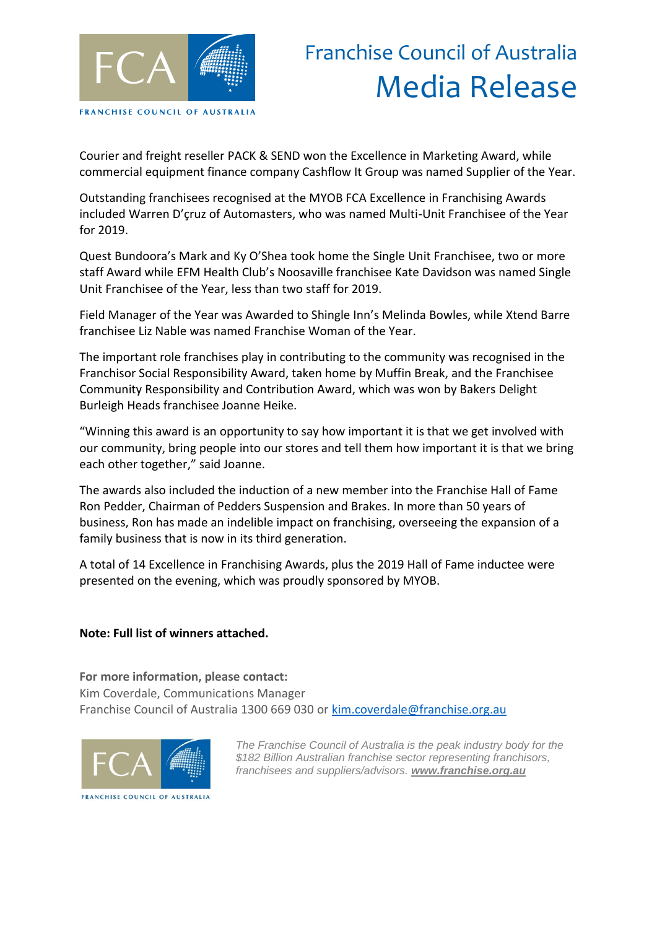

## Franchise Council of Australia Media Release

Courier and freight reseller PACK & SEND won the Excellence in Marketing Award, while commercial equipment finance company Cashflow It Group was named Supplier of the Year.

Outstanding franchisees recognised at the MYOB FCA Excellence in Franchising Awards included Warren D'çruz of Automasters, who was named Multi-Unit Franchisee of the Year for 2019.

Quest Bundoora's Mark and Ky O'Shea took home the Single Unit Franchisee, two or more staff Award while EFM Health Club's Noosaville franchisee Kate Davidson was named Single Unit Franchisee of the Year, less than two staff for 2019.

Field Manager of the Year was Awarded to Shingle Inn's Melinda Bowles, while Xtend Barre franchisee Liz Nable was named Franchise Woman of the Year.

The important role franchises play in contributing to the community was recognised in the Franchisor Social Responsibility Award, taken home by Muffin Break, and the Franchisee Community Responsibility and Contribution Award, which was won by Bakers Delight Burleigh Heads franchisee Joanne Heike.

"Winning this award is an opportunity to say how important it is that we get involved with our community, bring people into our stores and tell them how important it is that we bring each other together," said Joanne.

The awards also included the induction of a new member into the Franchise Hall of Fame Ron Pedder, Chairman of Pedders Suspension and Brakes. In more than 50 years of business, Ron has made an indelible impact on franchising, overseeing the expansion of a family business that is now in its third generation.

A total of 14 Excellence in Franchising Awards, plus the 2019 Hall of Fame inductee were presented on the evening, which was proudly sponsored by MYOB.

## **Note: Full list of winners attached.**

**For more information, please contact:**

Kim Coverdale, Communications Manager Franchise Council of Australia 1300 669 030 or [kim.coverdale@franchise.org.au](mailto:kim.coverdale@franchise.org.au)



*The Franchise Council of Australia is the peak industry body for the \$182 Billion Australian franchise sector representing franchisors, franchisees and suppliers/advisors. www.franchise.org.au*